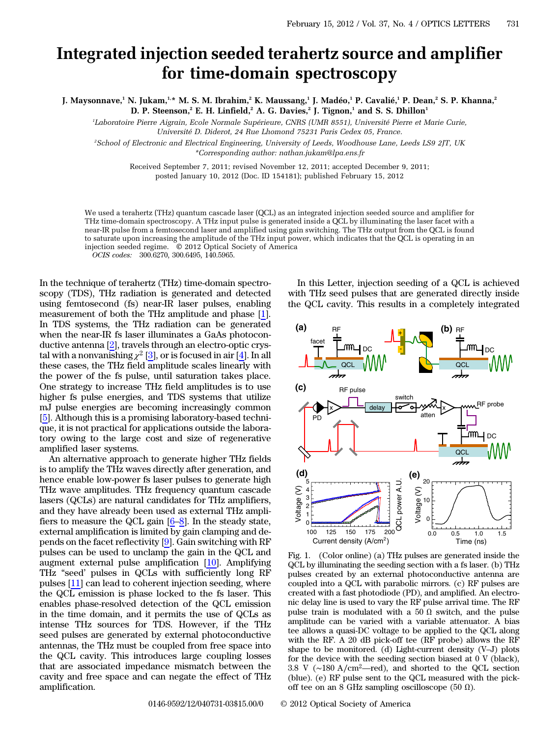## Integrated injection seeded terahertz source and amplifier for time-domain spectroscopy

J. Maysonnave,<sup>1</sup> N. Jukam,<sup>1,\*</sup> M. S. M. Ibrahim,<sup>2</sup> K. Maussang,<sup>1</sup> J. Madéo,<sup>1</sup> P. Cavalié,<sup>1</sup> P. Dean,<sup>2</sup> S. P. Khanna,<sup>2</sup> D. P. Steenson,<sup>2</sup> E. H. Linfield,<sup>2</sup> A. G. Davies,<sup>2</sup> J. Tignon,<sup>1</sup> and S. S. Dhillon<sup>1</sup>

1 Laboratoire Pierre Aigrain, Ecole Normale Supérieure, CNRS (UMR 8551), Université Pierre et Marie Curie, Université D. Diderot, 24 Rue Lhomond 75231 Paris Cedex 05, France.

2 School of Electronic and Electrical Engineering, University of Leeds, Woodhouse Lane, Leeds LS9 2JT, UK \*Corresponding author: nathan.jukam@lpa.ens.fr

Received September 7, 2011; revised November 12, 2011; accepted December 9, 2011; posted January 10, 2012 (Doc. ID 154181); published February 15, 2012

We used a terahertz (THz) quantum cascade laser (QCL) as an integrated injection seeded source and amplifier for THz time-domain spectroscopy. A THz input pulse is generated inside a QCL by illuminating the laser facet with a near-IR pulse from a femtosecond laser and amplified using gain switching. The THz output from the QCL is found to saturate upon increasing the amplitude of the THz input power, which indicates that the QCL is operating in an injection seeded regime. © 2012 Optical Society of America

OCIS codes: 300.6270, 300.6495, 140.5965.

In the technique of terahertz (THz) time-domain spectroscopy (TDS), THz radiation is generated and detected using femtosecond (fs) near-IR laser pulses, enabling measurement of both the THz amplitude and phase [\[1](#page-2-0)]. In TDS systems, the THz radiation can be generated when the near-IR fs laser illuminates a GaAs photoconductive antenna [\[2](#page-2-1)], travels through an electro-optic crystal with a nonvanishing  $\chi^2$  [\[3](#page-2-2)], or is focused in air [\[4](#page-2-3)]. In all these cases, the THz field amplitude scales linearly with the power of the fs pulse, until saturation takes place. One strategy to increase THz field amplitudes is to use higher fs pulse energies, and TDS systems that utilize mJ pulse energies are becoming increasingly common [\[5](#page-2-4)]. Although this is a promising laboratory-based technique, it is not practical for applications outside the laboratory owing to the large cost and size of regenerative amplified laser systems.

An alternative approach to generate higher THz fields is to amplify the THz waves directly after generation, and hence enable low-power fs laser pulses to generate high THz wave amplitudes. THz frequency quantum cascade lasers (QCLs) are natural candidates for THz amplifiers, and they have already been used as external THz amplifiers to measure the QCL gain [[6](#page-2-5)–[8\]](#page-2-6). In the steady state, external amplification is limited by gain clamping and depends on the facet reflectivity [[9\]](#page-2-7). Gain switching with RF pulses can be used to unclamp the gain in the QCL and augment external pulse amplification [[10\]](#page-2-8). Amplifying THz "seed' pulses in QCLs with sufficiently long RF pulses [\[11](#page-2-9)] can lead to coherent injection seeding, where the QCL emission is phase locked to the fs laser. This enables phase-resolved detection of the QCL emission in the time domain, and it permits the use of QCLs as intense THz sources for TDS. However, if the THz seed pulses are generated by external photoconductive antennas, the THz must be coupled from free space into the QCL cavity. This introduces large coupling losses that are associated impedance mismatch between the cavity and free space and can negate the effect of THz amplification.

In this Letter, injection seeding of a QCL is achieved with THz seed pulses that are generated directly inside the QCL cavity. This results in a completely integrated

<span id="page-0-0"></span>

Fig. 1. (Color online) (a) THz pulses are generated inside the QCL by illuminating the seeding section with a fs laser. (b) THz pulses created by an external photoconductive antenna are coupled into a QCL with parabolic mirrors. (c) RF pulses are created with a fast photodiode (PD), and amplified. An electronic delay line is used to vary the RF pulse arrival time. The RF pulse train is modulated with a 50  $\Omega$  switch, and the pulse amplitude can be varied with a variable attenuator. A bias tee allows a quasi-DC voltage to be applied to the QCL along with the RF. A 20 dB pick-off tee (RF probe) allows the RF shape to be monitored. (d) Light-current density (V–J) plots for the device with the seeding section biased at 0 V (black), 3.8 V (∼<sup>180</sup> <sup>A</sup>∕cm<sup>2</sup>—red), and shorted to the QCL section (blue). (e) RF pulse sent to the QCL measured with the pickoff tee on an 8 GHz sampling oscilloscope (50  $\Omega$ ).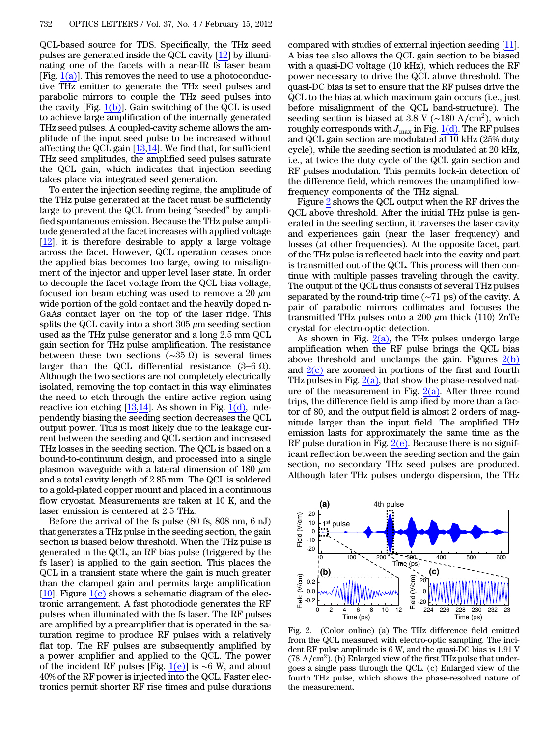QCL-based source for TDS. Specifically, the THz seed pulses are generated inside the QCL cavity [\[12](#page-2-10)] by illuminating one of the facets with a near-IR fs laser beam [Fig.  $1(a)$ ]. This removes the need to use a photoconductive THz emitter to generate the THz seed pulses and parabolic mirrors to couple the THz seed pulses into the cavity [Fig. [1\(b\)\]](#page-0-0). Gain switching of the QCL is used to achieve large amplification of the internally generated THz seed pulses. A coupled-cavity scheme allows the amplitude of the input seed pulse to be increased without affecting the QCL gain [\[13](#page-2-11),[14\]](#page-2-12). We find that, for sufficient THz seed amplitudes, the amplified seed pulses saturate the QCL gain, which indicates that injection seeding takes place via integrated seed generation.

To enter the injection seeding regime, the amplitude of the THz pulse generated at the facet must be sufficiently large to prevent the QCL from being "seeded" by amplified spontaneous emission. Because the THz pulse amplitude generated at the facet increases with applied voltage  $[12]$  $[12]$ , it is therefore desirable to apply a large voltage across the facet. However, QCL operation ceases once the applied bias becomes too large, owing to misalignment of the injector and upper level laser state. In order to decouple the facet voltage from the QCL bias voltage, focused ion beam etching was used to remove a 20  $\mu$ m wide portion of the gold contact and the heavily doped n-GaAs contact layer on the top of the laser ridge. This splits the QCL cavity into a short  $305 \mu m$  seeding section used as the THz pulse generator and a long 2.5 mm QCL gain section for THz pulse amplification. The resistance between these two sections ( $\sim$ 35 Ω) is several times larger than the QCL differential resistance  $(3-6 \Omega)$ . Although the two sections are not completely electrically isolated, removing the top contact in this way eliminates the need to etch through the entire active region using reactive ion etching  $[13,14]$  $[13,14]$  $[13,14]$ . As shown in Fig.  $1(d)$ , independently biasing the seeding section decreases the QCL output power. This is most likely due to the leakage current between the seeding and QCL section and increased THz losses in the seeding section. The QCL is based on a bound-to-continuum design, and processed into a single plasmon waveguide with a lateral dimension of 180  $\mu$ m and a total cavity length of 2.85 mm. The QCL is soldered to a gold-plated copper mount and placed in a continuous flow cryostat. Measurements are taken at 10 K, and the laser emission is centered at 2.5 THz.

Before the arrival of the fs pulse (80 fs, 808 nm, 6 nJ) that generates a THz pulse in the seeding section, the gain section is biased below threshold. When the THz pulse is generated in the QCL, an RF bias pulse (triggered by the fs laser) is applied to the gain section. This places the QCL in a transient state where the gain is much greater than the clamped gain and permits large amplification [\[10](#page-2-8)]. Figure  $1(c)$  shows a schematic diagram of the electronic arrangement. A fast photodiode generates the RF pulses when illuminated with the fs laser. The RF pulses are amplified by a preamplifier that is operated in the saturation regime to produce RF pulses with a relatively flat top. The RF pulses are subsequently amplified by a power amplifier and applied to the QCL. The power of the incident RF pulses [Fig. [1\(e\)](#page-0-0)] is ∼6 W, and about 40% of the RF power is injected into the QCL. Faster electronics permit shorter RF rise times and pulse durations

compared with studies of external injection seeding [\[11](#page-2-9)]. A bias tee also allows the QCL gain section to be biased with a quasi-DC voltage (10 kHz), which reduces the RF power necessary to drive the QCL above threshold. The quasi-DC bias is set to ensure that the RF pulses drive the QCL to the bias at which maximum gain occurs (i.e., just before misalignment of the QCL band-structure). The seeding section is biased at 3.8 V ( $\sim$ 180 A/cm<sup>2</sup>), which roughly corresponds with  $J_{\text{max}}$  in Fig. [1\(d\).](#page-0-0) The RF pulses and QCL gain section are modulated at 10 kHz (25% duty cycle), while the seeding section is modulated at 20 kHz, i.e., at twice the duty cycle of the QCL gain section and RF pulses modulation. This permits lock-in detection of the difference field, which removes the unamplified lowfrequency components of the THz signal.

Figure [2](#page-1-0) shows the QCL output when the RF drives the QCL above threshold. After the initial THz pulse is generated in the seeding section, it traverses the laser cavity and experiences gain (near the laser frequency) and losses (at other frequencies). At the opposite facet, part of the THz pulse is reflected back into the cavity and part is transmitted out of the QCL. This process will then continue with multiple passes traveling through the cavity. The output of the QCL thus consists of several THz pulses separated by the round-trip time (∼71 ps) of the cavity. A pair of parabolic mirrors collimates and focuses the transmitted THz pulses onto a 200  $\mu$ m thick  $\langle 110 \rangle$  ZnTe crystal for electro-optic detection.

As shown in Fig.  $2(a)$ , the THz pulses undergo large amplification when the RF pulse brings the QCL bias above threshold and unclamps the gain. Figures  $2(b)$ and  $2(c)$  are zoomed in portions of the first and fourth THz pulses in Fig.  $2(a)$ , that show the phase-resolved nature of the measurement in Fig.  $2(a)$ . After three round trips, the difference field is amplified by more than a factor of 80, and the output field is almost 2 orders of magnitude larger than the input field. The amplified THz emission lasts for approximately the same time as the RF pulse duration in Fig.  $2(e)$ . Because there is no significant reflection between the seeding section and the gain section, no secondary THz seed pulses are produced. Although later THz pulses undergo dispersion, the THz

<span id="page-1-0"></span>

Fig. 2. (Color online) (a) The THz difference field emitted from the QCL measured with electro-optic sampling. The incident RF pulse amplitude is 6 W, and the quasi-DC bias is 1.91 V  $(78 \text{ A/cm}^2)$ . (b) Enlarged view of the first THz pulse that undergoes a single pass through the QCL. (c) Enlarged view of the fourth THz pulse, which shows the phase-resolved nature of the measurement.